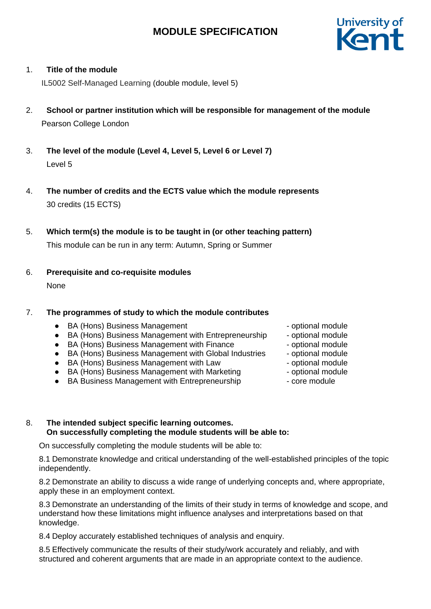

# 1. **Title of the module**

IL5002 Self-Managed Learning (double module, level 5)

- 2. **School or partner institution which will be responsible for management of the module** Pearson College London
- 3. **The level of the module (Level 4, Level 5, Level 6 or Level 7)** Level 5
- 4. **The number of credits and the ECTS value which the module represents**  30 credits (15 ECTS)
- 5. **Which term(s) the module is to be taught in (or other teaching pattern)**

This module can be run in any term: Autumn, Spring or Summer

6. **Prerequisite and co-requisite modules** None

# 7. **The programmes of study to which the module contributes**

- BA (Hons) Business Management and the optional module
- BA (Hons) Business Management with Entrepreneurship optional module
- BA (Hons) Business Management with Finance optional module
- BA (Hons) Business Management with Global Industries optional module
- BA (Hons) Business Management with Law Figure optional module
- BA (Hons) Business Management with Marketing optional module
- BA Business Management with Entrepreneurship core module
- 
- 
- 
- 
- 
- -

### 8. **The intended subject specific learning outcomes. On successfully completing the module students will be able to:**

On successfully completing the module students will be able to:

8.1 Demonstrate knowledge and critical understanding of the well-established principles of the topic independently.

8.2 Demonstrate an ability to discuss a wide range of underlying concepts and, where appropriate, apply these in an employment context.

8.3 Demonstrate an understanding of the limits of their study in terms of knowledge and scope, and understand how these limitations might influence analyses and interpretations based on that knowledge.

8.4 Deploy accurately established techniques of analysis and enquiry.

8.5 Effectively communicate the results of their study/work accurately and reliably, and with structured and coherent arguments that are made in an appropriate context to the audience.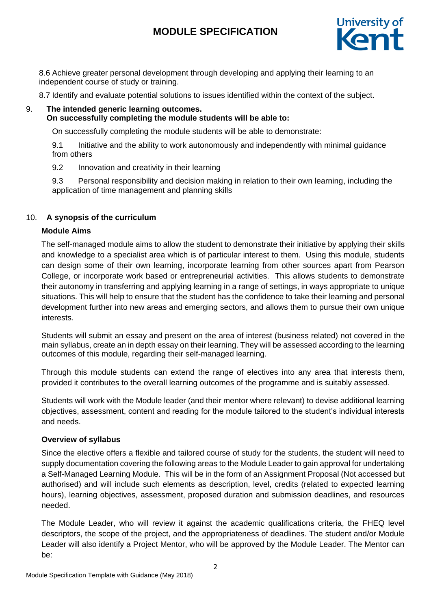

8.6 Achieve greater personal development through developing and applying their learning to an independent course of study or training.

8.7 Identify and evaluate potential solutions to issues identified within the context of the subject.

# 9. **The intended generic learning outcomes. On successfully completing the module students will be able to:**

On successfully completing the module students will be able to demonstrate:

9.1 Initiative and the ability to work autonomously and independently with minimal guidance from others

9.2 Innovation and creativity in their learning

9.3 Personal responsibility and decision making in relation to their own learning, including the application of time management and planning skills

# 10. **A synopsis of the curriculum**

# **Module Aims**

The self-managed module aims to allow the student to demonstrate their initiative by applying their skills and knowledge to a specialist area which is of particular interest to them. Using this module, students can design some of their own learning, incorporate learning from other sources apart from Pearson College, or incorporate work based or entrepreneurial activities. This allows students to demonstrate their autonomy in transferring and applying learning in a range of settings, in ways appropriate to unique situations. This will help to ensure that the student has the confidence to take their learning and personal development further into new areas and emerging sectors, and allows them to pursue their own unique interests.

Students will submit an essay and present on the area of interest (business related) not covered in the main syllabus, create an in depth essay on their learning. They will be assessed according to the learning outcomes of this module, regarding their self-managed learning.

Through this module students can extend the range of electives into any area that interests them, provided it contributes to the overall learning outcomes of the programme and is suitably assessed.

Students will work with the Module leader (and their mentor where relevant) to devise additional learning objectives, assessment, content and reading for the module tailored to the student's individual interests and needs.

# **Overview of syllabus**

Since the elective offers a flexible and tailored course of study for the students, the student will need to supply documentation covering the following areas to the Module Leader to gain approval for undertaking a Self-Managed Learning Module. This will be in the form of an Assignment Proposal (Not accessed but authorised) and will include such elements as description, level, credits (related to expected learning hours), learning objectives, assessment, proposed duration and submission deadlines, and resources needed.

The Module Leader, who will review it against the academic qualifications criteria, the FHEQ level descriptors, the scope of the project, and the appropriateness of deadlines. The student and/or Module Leader will also identify a Project Mentor, who will be approved by the Module Leader. The Mentor can be: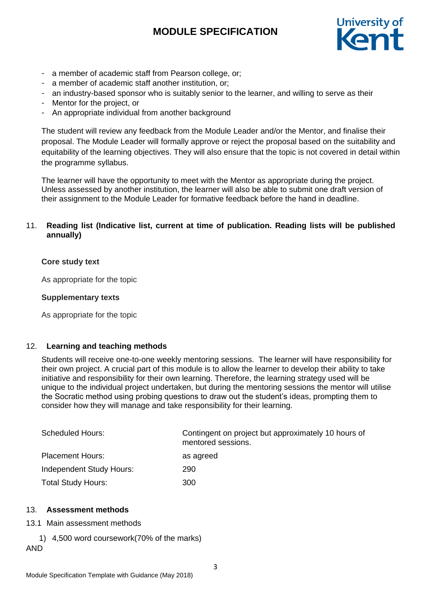

- a member of academic staff from Pearson college, or;
- a member of academic staff another institution, or;
- an industry-based sponsor who is suitably senior to the learner, and willing to serve as their
- Mentor for the project, or
- An appropriate individual from another background

The student will review any feedback from the Module Leader and/or the Mentor, and finalise their proposal. The Module Leader will formally approve or reject the proposal based on the suitability and equitability of the learning objectives. They will also ensure that the topic is not covered in detail within the programme syllabus.

The learner will have the opportunity to meet with the Mentor as appropriate during the project. Unless assessed by another institution, the learner will also be able to submit one draft version of their assignment to the Module Leader for formative feedback before the hand in deadline.

# 11. **Reading list (Indicative list, current at time of publication. Reading lists will be published annually)**

#### **Core study text**

As appropriate for the topic

#### **Supplementary texts**

As appropriate for the topic

#### 12. **Learning and teaching methods**

Students will receive one-to-one weekly mentoring sessions. The learner will have responsibility for their own project. A crucial part of this module is to allow the learner to develop their ability to take initiative and responsibility for their own learning. Therefore, the learning strategy used will be unique to the individual project undertaken, but during the mentoring sessions the mentor will utilise the Socratic method using probing questions to draw out the student's ideas, prompting them to consider how they will manage and take responsibility for their learning.

| <b>Scheduled Hours:</b>   | Contingent on project but approximately 10 hours of<br>mentored sessions. |
|---------------------------|---------------------------------------------------------------------------|
| <b>Placement Hours:</b>   | as agreed                                                                 |
| Independent Study Hours:  | 290                                                                       |
| <b>Total Study Hours:</b> | 300                                                                       |

#### 13. **Assessment methods**

- 13.1 Main assessment methods
	- 1) 4,500 word coursework(70% of the marks)

# AND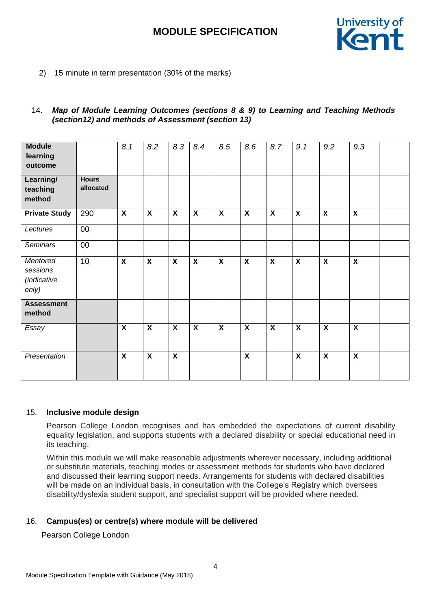

2) 15 minute in term presentation (30% of the marks)

### 14. *Map of Module Learning Outcomes (sections 8 & 9) to Learning and Teaching Methods (section12) and methods of Assessment (section 13)*

| <b>Module</b><br>learning<br>outcome         |                           | 8.1                       | 8.2                       | 8.3                       | 8.4                       | 8.5                       | 8.6                       | 8.7                       | 9.1                       | 9.2                       | 9.3                       |  |
|----------------------------------------------|---------------------------|---------------------------|---------------------------|---------------------------|---------------------------|---------------------------|---------------------------|---------------------------|---------------------------|---------------------------|---------------------------|--|
| Learning/<br>teaching<br>method              | <b>Hours</b><br>allocated |                           |                           |                           |                           |                           |                           |                           |                           |                           |                           |  |
| <b>Private Study</b>                         | 290                       | $\overline{\mathbf{X}}$   | $\overline{\mathbf{X}}$   | $\overline{\mathbf{X}}$   | $\overline{\mathbf{X}}$   | $\overline{\mathbf{X}}$   | $\overline{\mathbf{X}}$   | $\overline{\mathbf{X}}$   | $\mathbf{x}$              | $\boldsymbol{x}$          | $\boldsymbol{\mathsf{x}}$ |  |
| Lectures                                     | 00                        |                           |                           |                           |                           |                           |                           |                           |                           |                           |                           |  |
| <b>Seminars</b>                              | 00                        |                           |                           |                           |                           |                           |                           |                           |                           |                           |                           |  |
| Mentored<br>sessions<br>(indicative<br>only) | 10                        | $\mathbf{x}$              | $\boldsymbol{\mathsf{x}}$ | $\boldsymbol{\mathsf{x}}$ | $\boldsymbol{\mathsf{x}}$ | $\boldsymbol{\mathsf{x}}$ | $\boldsymbol{\mathsf{x}}$ | $\boldsymbol{\mathsf{x}}$ | $\boldsymbol{\mathsf{x}}$ | $\boldsymbol{x}$          | $\boldsymbol{\mathsf{x}}$ |  |
| <b>Assessment</b><br>method                  |                           |                           |                           |                           |                           |                           |                           |                           |                           |                           |                           |  |
| Essay                                        |                           | $\overline{\mathbf{X}}$   | $\overline{\mathbf{X}}$   | $\overline{\mathbf{x}}$   | $\overline{\mathbf{X}}$   | $\overline{\mathbf{X}}$   | $\overline{\mathbf{X}}$   | $\overline{\mathbf{x}}$   | $\overline{\mathbf{X}}$   | $\overline{\mathbf{X}}$   | $\boldsymbol{\mathsf{X}}$ |  |
| Presentation                                 |                           | $\boldsymbol{\mathsf{X}}$ | $\boldsymbol{\mathsf{X}}$ | $\mathsf{X}$              |                           |                           | $\boldsymbol{\mathsf{X}}$ |                           | $\boldsymbol{\mathsf{X}}$ | $\boldsymbol{\mathsf{X}}$ | $\boldsymbol{\mathsf{X}}$ |  |

#### 15. **Inclusive module design**

Pearson College London recognises and has embedded the expectations of current disability equality legislation, and supports students with a declared disability or special educational need in its teaching.

Within this module we will make reasonable adjustments wherever necessary, including additional or substitute materials, teaching modes or assessment methods for students who have declared and discussed their learning support needs. Arrangements for students with declared disabilities will be made on an individual basis, in consultation with the College's Registry which oversees disability/dyslexia student support, and specialist support will be provided where needed.

# 16. **Campus(es) or centre(s) where module will be delivered**

Pearson College London